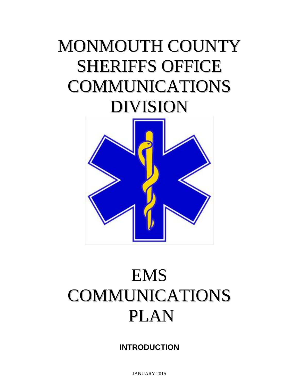# MONMOUTH COUNTY SHERIFFS OFFICE COMMUNICATIONS DIVISION



# EMS COMMUNICATIONS PLAN

**INTRODUCTION**

JANUARY 2015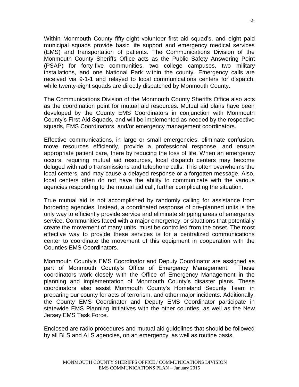Within Monmouth County fifty-eight volunteer first aid squad's, and eight paid municipal squads provide basic life support and emergency medical services (EMS) and transportation of patients. The Communications Division of the Monmouth County Sheriffs Office acts as the Public Safety Answering Point (PSAP) for forty-five communities, two college campuses, two military installations, and one National Park within the county. Emergency calls are received via 9-1-1 and relayed to local communications centers for dispatch, while twenty-eight squads are directly dispatched by Monmouth County.

The Communications Division of the Monmouth County Sheriffs Office also acts as the coordination point for mutual aid resources. Mutual aid plans have been developed by the County EMS Coordinators in conjunction with Monmouth County's First Aid Squads, and will be implemented as needed by the respective squads, EMS Coordinators, and/or emergency management coordinators.

Effective communications, in large or small emergencies, eliminate confusion, move resources efficiently, provide a professional response, and ensure appropriate patient care, there by reducing the loss of life. When an emergency occurs, requiring mutual aid resources, local dispatch centers may become deluged with radio transmissions and telephone calls. This often overwhelms the local centers, and may cause a delayed response or a forgotten message. Also, local centers often do not have the ability to communicate with the various agencies responding to the mutual aid call, further complicating the situation.

True mutual aid is not accomplished by randomly calling for assistance from bordering agencies. Instead, a coordinated response of pre-planned units is the only way to efficiently provide service and eliminate stripping areas of emergency service. Communities faced with a major emergency, or situations that potentially create the movement of many units, must be controlled from the onset. The most effective way to provide these services is for a centralized communications center to coordinate the movement of this equipment in cooperation with the Counties EMS Coordinators.

Monmouth County's EMS Coordinator and Deputy Coordinator are assigned as part of Monmouth County's Office of Emergency Management. These coordinators work closely with the Office of Emergency Management in the planning and implementation of Monmouth County's disaster plans. These coordinators also assist Monmouth County's Homeland Security Team in preparing our county for acts of terrorism, and other major incidents. Additionally, the County EMS Coordinator and Deputy EMS Coordinator participate in statewide EMS Planning Initiatives with the other counties, as well as the New Jersey EMS Task Force.

Enclosed are radio procedures and mutual aid guidelines that should be followed by all BLS and ALS agencies, on an emergency, as well as routine basis.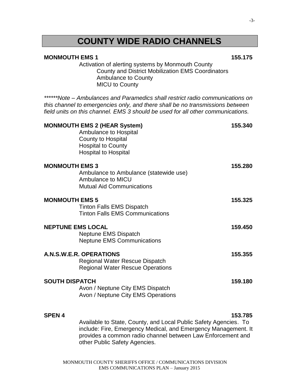### **COUNTY WIDE RADIO CHANNELS**

#### **MONMOUTH EMS 1 155.175**

Activation of alerting systems by Monmouth County County and District Mobilization EMS Coordinators Ambulance to County MICU to County

*\*\*\*\*\*\*Note – Ambulances and Paramedics shall restrict radio communications on this channel to emergencies only, and there shall be no transmissions between field units on this channel. EMS 3 should be used for all other communications.*

|                          | <b>MONMOUTH EMS 2 (HEAR System)</b><br>Ambulance to Hospital<br>County to Hospital<br><b>Hospital to County</b><br><b>Hospital to Hospital</b> | 155.340 |
|--------------------------|------------------------------------------------------------------------------------------------------------------------------------------------|---------|
| <b>MONMOUTH EMS 3</b>    | Ambulance to Ambulance (statewide use)<br>Ambulance to MICU<br><b>Mutual Aid Communications</b>                                                | 155.280 |
| <b>MONMOUTH EMS 5</b>    | <b>Tinton Falls EMS Dispatch</b><br><b>Tinton Falls EMS Communications</b>                                                                     | 155.325 |
| <b>NEPTUNE EMS LOCAL</b> | Neptune EMS Dispatch<br><b>Neptune EMS Communications</b>                                                                                      | 159.450 |
|                          | <b>A.N.S.W.E.R. OPERATIONS</b><br><b>Regional Water Rescue Dispatch</b><br><b>Regional Water Rescue Operations</b>                             | 155.355 |
| <b>SOUTH DISPATCH</b>    | Avon / Neptune City EMS Dispatch<br>Avon / Neptune City EMS Operations                                                                         | 159.180 |
| <b>SPEN4</b>             | $\Lambda$ . cicle la la Ctata Caustu and Lazal Dublic Cafatu $\Lambda$ ass                                                                     | 153.785 |

Available to State, County, and Local Public Safety Agencies. To include: Fire, Emergency Medical, and Emergency Management. It provides a common radio channel between Law Enforcement and other Public Safety Agencies.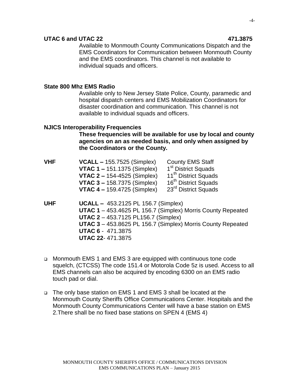#### **UTAC 6 and UTAC 22 471.3875**

Available to Monmouth County Communications Dispatch and the EMS Coordinators for Communication between Monmouth County and the EMS coordinators. This channel is not available to individual squads and officers.

#### **State 800 Mhz EMS Radio**

Available only to New Jersey State Police, County, paramedic and hospital dispatch centers and EMS Mobilization Coordinators for disaster coordination and communication. This channel is not available to individual squads and officers.

#### **NJICS Interoperability Frequencies**

**These frequencies will be available for use by local and county agencies on an as needed basis, and only when assigned by the Coordinators or the County.**

| <b>VHF</b> | $VCALL - 155.7525$ (Simplex)                     | <b>County EMS Staff</b>          |
|------------|--------------------------------------------------|----------------------------------|
|            | <b>VTAC 1 – 151.1375 (Simplex)</b>               | 1 <sup>st</sup> District Squads  |
|            | <b>VTAC 2 - 154-4525 (Simplex)</b>               | 11 <sup>th</sup> District Squads |
|            | <b>VTAC 3 - 158.7375 (Simplex)</b>               | 16 <sup>th</sup> District Squads |
|            | <b>VTAC 4 - 159.4725 (Simplex)</b>               | 23 <sup>rd</sup> District Squads |
| шис        | $IIPAll$ $AE2$ $2425$ $DI$ $456$ $7$ $(Simplay)$ |                                  |

- **UHF UCALL –** 453.2125 PL 156.7 (Simplex) **UTAC 1** – 453.4625 PL 156.7 (Simplex) Morris County Repeated **UTAC 2** – 453.7125 PL156.7 (Simplex) **UTAC 3** – 453.8625 PL 156.7 (Simplex) Morris County Repeated **UTAC 6** -471.3875 **UTAC 22**- 471.3875
- Monmouth EMS 1 and EMS 3 are equipped with continuous tone code squelch, (CTCSS) The code 151.4 or Motorola Code 5z is used. Access to all EMS channels can also be acquired by encoding 6300 on an EMS radio touch pad or dial.
- The only base station on EMS 1 and EMS 3 shall be located at the Monmouth County Sheriffs Office Communications Center. Hospitals and the Monmouth County Communications Center will have a base station on EMS 2.There shall be no fixed base stations on SPEN 4 (EMS 4)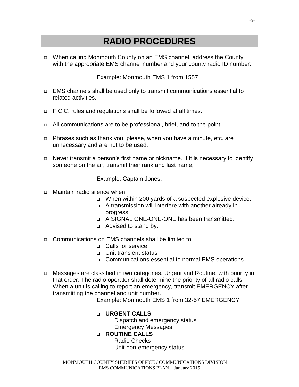### **RADIO PROCEDURES**

 When calling Monmouth County on an EMS channel, address the County with the appropriate EMS channel number and your county radio ID number:

Example: Monmouth EMS 1 from 1557

- EMS channels shall be used only to transmit communications essential to related activities.
- □ F.C.C. rules and regulations shall be followed at all times.
- □ All communications are to be professional, brief, and to the point.
- Phrases such as thank you, please, when you have a minute, etc. are unnecessary and are not to be used.
- □ Never transmit a person's first name or nickname. If it is necessary to identify someone on the air, transmit their rank and last name,

Example: Captain Jones.

- □ Maintain radio silence when:
	- □ When within 200 yards of a suspected explosive device.
	- A transmission will interfere with another already in progress.
	- □ A SIGNAL ONE-ONE-ONE has been transmitted.
	- **Q** Advised to stand by.
- Communications on EMS channels shall be limited to:
	- □ Calls for service
	- □ Unit transient status
	- □ Communications essential to normal EMS operations.
- Messages are classified in two categories, Urgent and Routine, with priority in that order. The radio operator shall determine the priority of all radio calls. When a unit is calling to report an emergency, transmit EMERGENCY after transmitting the channel and unit number.

Example: Monmouth EMS 1 from 32-57 EMERGENCY

#### **URGENT CALLS**

Dispatch and emergency status Emergency Messages

#### **ROUTINE CALLS**

Radio Checks Unit non-emergency status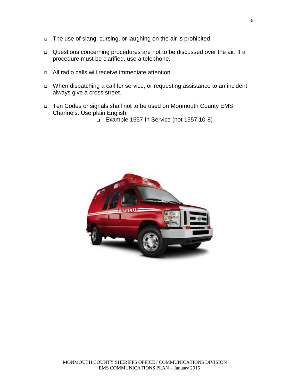- □ The use of slang, cursing, or laughing on the air is prohibited.
- Questions concerning procedures are not to be discussed over the air. If a procedure must be clarified, use a telephone.
- All radio calls will receive immediate attention.
- When dispatching a call for service, or requesting assistance to an incident always give a cross street.
- □ Ten Codes or signals shall not to be used on Monmouth County EMS Channels. Use plain English:
	- Example 1557 In Service (not 1557 10-8)

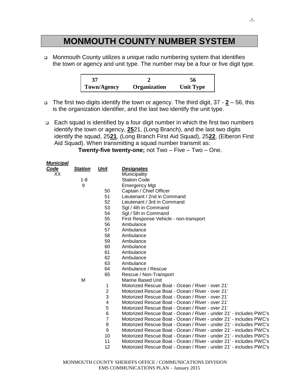### **MONMOUTH COUNTY NUMBER SYSTEM**

□ Monmouth County utilizes a unique radio numbering system that identifies the town or agency and unit type. The number may be a four or five digit type.

| 37          |              | 56               |
|-------------|--------------|------------------|
| Town/Agency | Organization | <b>Unit Type</b> |

- The first two digits identify the town or agency. The third digit, 37 **2** 56, this is the organization identifier, and the last two identify the unit type.
- $\Box$  Each squad is identified by a four digit number in which the first two numbers identify the town or agency, **25**21, (Long Branch), and the last two digits identify the squad, 25**21**, (Long Branch First Aid Squad), 25**22**, (Elberon First Aid Squad). When transmitting a squad number transmit as:

**Twenty-five twenty-one;** not Two – Five – Two – One.

| <b>Municipal</b> |                |                |                                                                    |
|------------------|----------------|----------------|--------------------------------------------------------------------|
| <b>Code</b>      | <b>Station</b> | Unit           | <b>Designates</b>                                                  |
| XX               |                |                | Municipality                                                       |
|                  | $1 - 8$        |                | <b>Station Code</b>                                                |
|                  | 9              |                | <b>Emergency Mgt</b>                                               |
|                  |                | 50             | Captain / Chief Officer                                            |
|                  |                | 51             | Lieutenant / 2nd in Command                                        |
|                  |                | 52             | Lieutenant / 3rd in Command                                        |
|                  |                | 53             | Sgt / 4th in Command                                               |
|                  |                | 54             | Sgt / 5th in Command                                               |
|                  |                | 55             | First Response Vehicle - non-transport                             |
|                  |                | 56             | Ambulance                                                          |
|                  |                | 57             | Ambulance                                                          |
|                  |                | 58             | Ambulance                                                          |
|                  |                | 59             | Ambulance                                                          |
|                  |                | 60             | Ambulance                                                          |
|                  |                | 61             | Ambulance                                                          |
|                  |                | 62             | Ambulance                                                          |
|                  |                | 63             | Ambulance                                                          |
|                  |                | 64             | Ambulance / Rescue                                                 |
|                  |                | 65             | Rescue / Non-Transport                                             |
|                  | M              |                | <b>Marine Based Unit</b>                                           |
|                  |                | 1              | Motorized Rescue Boat - Ocean / River - over 21'                   |
|                  |                | $\overline{c}$ | Motorized Rescue Boat - Ocean / River - over 21'                   |
|                  |                | 3              | Motorized Rescue Boat - Ocean / River - over 21'                   |
|                  |                | 4              | Motorized Rescue Boat - Ocean / River - over 21'                   |
|                  |                | 5              | Motorized Rescue Boat - Ocean / River - over 21'                   |
|                  |                | 6              | Motorized Rescue Boat - Ocean / River - under 21' - includes PWC's |
|                  |                | $\overline{7}$ | Motorized Rescue Boat - Ocean / River - under 21' - includes PWC's |
|                  |                | 8              | Motorized Rescue Boat - Ocean / River - under 21' - includes PWC's |
|                  |                | 9              | Motorized Rescue Boat - Ocean / River - under 21' - includes PWC's |
|                  |                | 10             | Motorized Rescue Boat - Ocean / River - under 21' - includes PWC's |
|                  |                | 11             | Motorized Rescue Boat - Ocean / River - under 21' - includes PWC's |
|                  |                | 12             | Motorized Rescue Boat - Ocean / River - under 21' - includes PWC's |
|                  |                |                |                                                                    |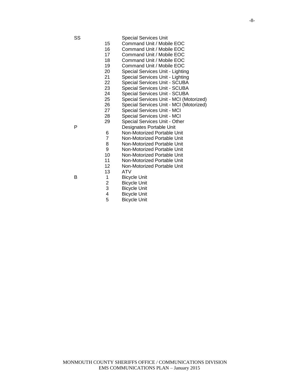| 15 | Command Unit / Mobile EOC               |
|----|-----------------------------------------|
| 16 | Command Unit / Mobile EOC               |
| 17 | Command Unit / Mobile EOC               |
| 18 | Command Unit / Mobile EOC               |
| 19 | Command Unit / Mobile EOC               |
| 20 | Special Services Unit - Lighting        |
| 21 | Special Services Unit - Lighting        |
| 22 | Special Services Unit - SCUBA           |
| 23 | Special Services Unit - SCUBA           |
| 24 | Special Services Unit - SCUBA           |
| 25 | Special Services Unit - MCI (Motorized) |
| 26 | Special Services Unit - MCI (Motorized) |
| 27 | <b>Special Services Unit - MCI</b>      |
|    |                                         |

- 
- Special Services Unit MCI Special Services Unit - Other

P Designates Portable Unit

- Non-Motorized Portable Unit
- 7 Non-Motorized Portable Unit<br>8 Non-Motorized Portable Unit
- 8 Non-Motorized Portable Unit<br>9 Non-Motorized Portable Unit
- Non-Motorized Portable Unit
- Non-Motorized Portable Unit
- Non-Motorized Portable Unit Non-Motorized Portable Unit
- 
- 13 ATV<br>1 Bicyc
- B 1 Bicycle Unit<br>2 Bicycle Unit 2 Bicycle Unit<br>3 Bicycle Unit
	- Bicycle Unit
	- 4 Bicycle Unit<br>5 Bicycle Unit
	- Bicycle Unit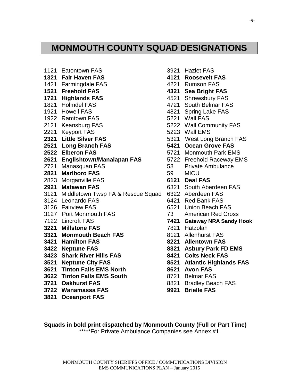### **MONMOUTH COUNTY SQUAD DESIGNATIONS**

- 1121 Eatontown FAS 3921 Hazlet FAS **1321 Fair Haven FAS 4121 Roosevelt FAS** 1421 Farmingdale FAS 4221 Rumson FAS **1521 Freehold FAS 4321 Sea Bright FAS 1721 Highlands FAS** 4521 Shrewsbury FAS 1821 Holmdel FAS 4721 South Belmar FAS 1921 Howell FAS 4821 Spring Lake FAS 1922 Ramtown FAS 5221 Wall FAS 2121 Keansburg FAS 6222 Wall Community FAS 2221 Keyport FAS 6223 Wall EMS **2321 Little Silver FAS** 5321 West Long Branch FAS **2521 Long Branch FAS 5421 Ocean Grove FAS 2522 Elberon FAS** 5721 Monmouth Park EMS **2621 Englishtown/Manalapan FAS** 5722 Freehold Raceway EMS 2721 Manasquan FAS 68 Private Ambulance **2821 Marlboro FAS 69 MICU** 2823 Morganville FAS **6121 Deal FAS 2921 Matawan FAS** 6321 South Aberdeen FAS 3121 Middletown Twsp FA & Rescue Squad 6322 Aberdeen FAS 3124 Leonardo FAS 6421 Red Bank FAS 3126 Fairview FAS 6521 Union Beach FAS 3127 Port Monmouth FAS 73 American Red Cross 7122 Lincroft FAS **7421 Gateway NRA Sandy Hook 3221 Millstone FAS** 7821 Hatzolah **3321 Monmouth Beach FAS** 8121 Allenhurst FAS **3421 Hamilton FAS 8221 Allentown FAS 3422 Neptune FAS 8321 Asbury Park FD EMS 3423 Shark River Hills FAS 8421 Colts Neck FAS 3521 Neptune City FAS 8521 Atlantic Highlands FAS 3621 Tinton Falls EMS North 8621 Avon FAS 3622 Tinton Falls EMS South** 8721 Belmar FAS **3721 Oakhurst FAS** 8821 Bradley Beach FAS **3722 Wanamassa FAS 9921 Brielle FAS 3821 Oceanport FAS**
- -
	-
	-
	-
	-
	-
	-
	-
	-
	-
	-
	-
	-
	-
	-
	- -
	-
	-
	-
	-
	-
	-
	-
	-
	-
	-
	-
	-
	-
	-
	-

**Squads in bold print dispatched by Monmouth County (Full or Part Time)** \*\*\*\*\*For Private Ambulance Companies see Annex #1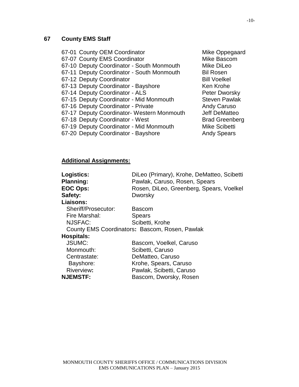### **67 County EMS Staff**

| 67-01 County OEM Coordinator               | Mike Oppegaard        |
|--------------------------------------------|-----------------------|
| 67-07 County EMS Coordinator               | Mike Bascom           |
| 67-10 Deputy Coordinator - South Monmouth  | Mike DiLeo            |
| 67-11 Deputy Coordinator - South Monmouth  | <b>Bil Rosen</b>      |
| 67-12 Deputy Coordinator                   | <b>Bill Voelkel</b>   |
| 67-13 Deputy Coordinator - Bayshore        | Ken Krohe             |
| 67-14 Deputy Coordinator - ALS             | Peter Dworsky         |
| 67-15 Deputy Coordinator - Mid Monmouth    | <b>Steven Pawlak</b>  |
| 67-16 Deputy Coordinator - Private         | <b>Andy Caruso</b>    |
| 67-17 Deputy Coordinator- Western Monmouth | <b>Jeff DeMatteo</b>  |
| 67-18 Deputy Coordinator - West            | <b>Brad Greenberg</b> |
| 67-19 Deputy Coordinator - Mid Monmouth    | <b>Mike Scibetti</b>  |
| 67-20 Deputy Coordinator - Bayshore        | <b>Andy Spears</b>    |

### **Additional Assignments:**

| Logistics:          | DiLeo (Primary), Krohe, DeMatteo, Scibetti     |
|---------------------|------------------------------------------------|
| <b>Planning:</b>    | Pawlak, Caruso, Rosen, Spears                  |
| <b>EOC Ops:</b>     | Rosen, DiLeo, Greenberg, Spears, Voelkel       |
| Safety:             | Dworsky                                        |
| Liaisons:           |                                                |
| Sheriff/Prosecutor: | <b>Bascom</b>                                  |
| Fire Marshal:       | <b>Spears</b>                                  |
| NJSFAC:             | Scibetti, Krohe                                |
|                     | County EMS Coordinators: Bascom, Rosen, Pawlak |
| <b>Hospitals:</b>   |                                                |
| <b>JSUMC:</b>       | Bascom, Voelkel, Caruso                        |
| Monmouth:           | Scibetti, Caruso                               |
| Centrastate:        | DeMatteo, Caruso                               |
| Bayshore:           | Krohe, Spears, Caruso                          |
| Riverview:          | Pawlak, Scibetti, Caruso                       |
| <b>NJEMSTF:</b>     | Bascom, Dworsky, Rosen                         |
|                     |                                                |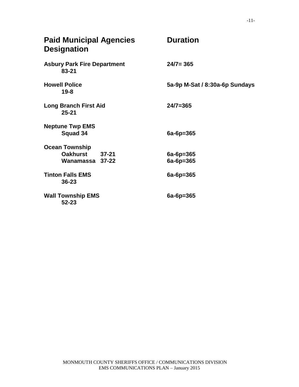| <b>Paid Municipal Agencies</b><br><b>Designation</b> | <b>Duration</b>                |
|------------------------------------------------------|--------------------------------|
| <b>Asbury Park Fire Department</b><br>$83 - 21$      | $24/7 = 365$                   |
| <b>Howell Police</b><br>$19 - 8$                     | 5a-9p M-Sat / 8:30a-6p Sundays |
| <b>Long Branch First Aid</b><br>$25 - 21$            | $24/7 = 365$                   |
| <b>Neptune Twp EMS</b><br><b>Squad 34</b>            | $6a-6p=365$                    |
| <b>Ocean Township</b>                                |                                |
| Oakhurst 37-21                                       | $6a-6p=365$                    |
| Wanamassa 37-22                                      | $6a-6p=365$                    |
| <b>Tinton Falls EMS</b><br>$36 - 23$                 | $6a-6p=365$                    |
| <b>Wall Township EMS</b><br>$52 - 23$                | $6a-6p=365$                    |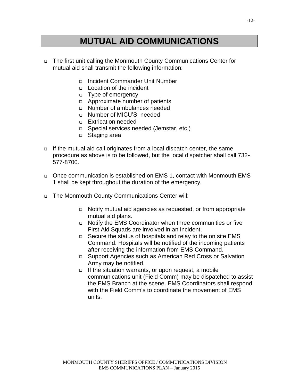### **MUTUAL AID COMMUNICATIONS**

- The first unit calling the Monmouth County Communications Center for mutual aid shall transmit the following information:
	- Incident Commander Unit Number
	- $\Box$  Location of the incident
	- Type of emergency
	- Approximate number of patients
	- Number of ambulances needed
	- □ Number of MICU'S needed
	- **Extrication needed**
	- Special services needed (Jemstar, etc.)
	- □ Staging area
- If the mutual aid call originates from a local dispatch center, the same procedure as above is to be followed, but the local dispatcher shall call 732- 577-8700.
- Once communication is established on EMS 1, contact with Monmouth EMS 1 shall be kept throughout the duration of the emergency.
- The Monmouth County Communications Center will:
	- Notify mutual aid agencies as requested, or from appropriate mutual aid plans.
	- Notify the EMS Coordinator when three communities or five First Aid Squads are involved in an incident.
	- □ Secure the status of hospitals and relay to the on site EMS Command. Hospitals will be notified of the incoming patients after receiving the information from EMS Command.
	- Support Agencies such as American Red Cross or Salvation Army may be notified.
	- $\Box$  If the situation warrants, or upon request, a mobile communications unit (Field Comm) may be dispatched to assist the EMS Branch at the scene. EMS Coordinators shall respond with the Field Comm's to coordinate the movement of EMS units.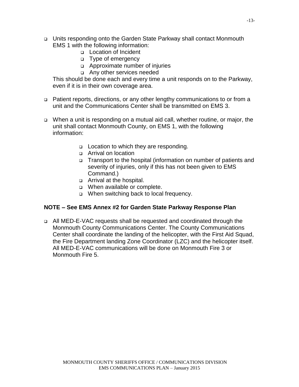- Units responding onto the Garden State Parkway shall contact Monmouth EMS 1 with the following information:
	- Location of Incident
	- Type of emergency
	- Approximate number of injuries
	- Any other services needed

This should be done each and every time a unit responds on to the Parkway, even if it is in their own coverage area.

- Patient reports, directions, or any other lengthy communications to or from a unit and the Communications Center shall be transmitted on EMS 3.
- When a unit is responding on a mutual aid call, whether routine, or major, the unit shall contact Monmouth County, on EMS 1, with the following information:
	- □ Location to which they are responding.
	- Arrival on location
	- □ Transport to the hospital (information on number of patients and severity of injuries, only if this has not been given to EMS Command.)
	- Arrival at the hospital.
	- When available or complete.
	- □ When switching back to local frequency.

#### **NOTE – See EMS Annex #2 for Garden State Parkway Response Plan**

□ All MED-E-VAC requests shall be requested and coordinated through the Monmouth County Communications Center. The County Communications Center shall coordinate the landing of the helicopter, with the First Aid Squad, the Fire Department landing Zone Coordinator (LZC) and the helicopter itself. All MED-E-VAC communications will be done on Monmouth Fire 3 or Monmouth Fire 5.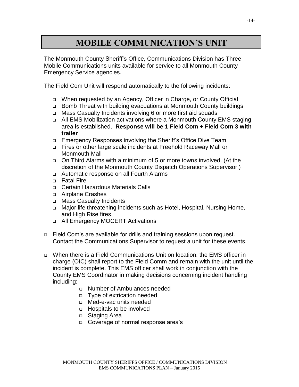### **MOBILE COMMUNICATION'S UNIT**

The Monmouth County Sheriff's Office, Communications Division has Three Mobile Communications units available for service to all Monmouth County Emergency Service agencies.

The Field Com Unit will respond automatically to the following incidents:

- When requested by an Agency, Officer in Charge, or County Official
- Bomb Threat with building evacuations at Monmouth County buildings
- □ Mass Casualty Incidents involving 6 or more first aid squads
- □ All EMS Mobilization activations where a Monmouth County EMS staging area is established. **Response will be 1 Field Com + Field Com 3 with trailer**
- □ Emergency Responses involving the Sheriff's Office Dive Team
- Fires or other large scale incidents at Freehold Raceway Mall or Monmouth Mall
- On Third Alarms with a minimum of 5 or more towns involved. (At the discretion of the Monmouth County Dispatch Operations Supervisor.)
- Automatic response on all Fourth Alarms
- **D** Fatal Fire
- Certain Hazardous Materials Calls
- Airplane Crashes
- □ Mass Casualty Incidents
- □ Major life threatening incidents such as Hotel, Hospital, Nursing Home, and High Rise fires.
- □ All Emergency MOCERT Activations
- Field Com's are available for drills and training sessions upon request. Contact the Communications Supervisor to request a unit for these events.
- When there is a Field Communications Unit on location, the EMS officer in charge (OIC) shall report to the Field Comm and remain with the unit until the incident is complete. This EMS officer shall work in conjunction with the County EMS Coordinator in making decisions concerning incident handling including:
	- Number of Ambulances needed
	- Type of extrication needed
	- Med-e-vac units needed
	- Hospitals to be involved
	- □ Staging Area
	- □ Coverage of normal response area's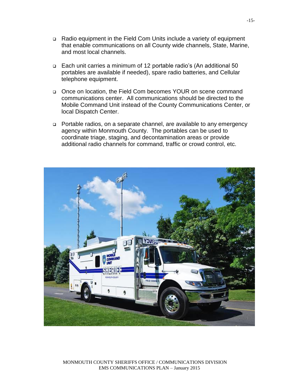- Radio equipment in the Field Com Units include a variety of equipment that enable communications on all County wide channels, State, Marine, and most local channels.
- Each unit carries a minimum of 12 portable radio's (An additional 50 portables are available if needed), spare radio batteries, and Cellular telephone equipment.
- Once on location, the Field Com becomes YOUR on scene command communications center. All communications should be directed to the Mobile Command Unit instead of the County Communications Center, or local Dispatch Center.
- Portable radios, on a separate channel, are available to any emergency agency within Monmouth County. The portables can be used to coordinate triage, staging, and decontamination areas or provide additional radio channels for command, traffic or crowd control, etc.



MONMOUTH COUNTY SHERIFFS OFFICE / COMMUNICATIONS DIVISION EMS COMMUNICATIONS PLAN – January 2015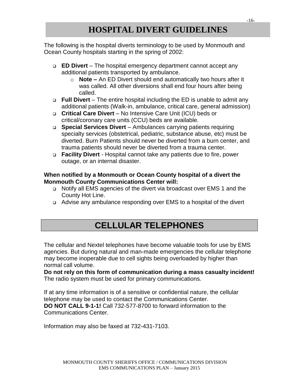### **HOSPITAL DIVERT GUIDELINES**

The following is the hospital diverts terminology to be used by Monmouth and Ocean County hospitals starting in the spring of 2002:

- **ED Divert**  The hospital emergency department cannot accept any additional patients transported by ambulance.
	- o **Note –** An ED Divert should end automatically two hours after it was called. All other diversions shall end four hours after being called.
- **Full Divert**  The entire hospital including the ED is unable to admit any additional patients (Walk-in, ambulance, critical care, general admission)
- **Critical Care Divert** No Intensive Care Unit (ICU) beds or critical/coronary care units (CCU) beds are available.
- □ **Special Services Divert** Ambulances carrying patients requiring specialty services (obstetrical, pediatric, substance abuse, etc) must be diverted. Burn Patients should never be diverted from a burn center, and trauma patients should never be diverted from a trauma center.
- **Facility Divert**  Hospital cannot take any patients due to fire, power outage, or an internal disaster.

#### **When notified by a Monmouth or Ocean County hospital of a divert the Monmouth County Communications Center will:**

- Notify all EMS agencies of the divert via broadcast over EMS 1 and the County Hot Line.
- Advise any ambulance responding over EMS to a hospital of the divert

### **CELLULAR TELEPHONES**

The cellular and Nextel telephones have become valuable tools for use by EMS agencies. But during natural and man-made emergencies the cellular telephone may become inoperable due to cell sights being overloaded by higher than normal call volume.

**Do not rely on this form of communication during a mass casualty incident!**  The radio system must be used for primary communications.

If at any time information is of a sensitive or confidential nature, the cellular telephone may be used to contact the Communications Center. **DO NOT CALL 9-1-1!** Call 732-577-8700 to forward information to the Communications Center.

Information may also be faxed at 732-431-7103.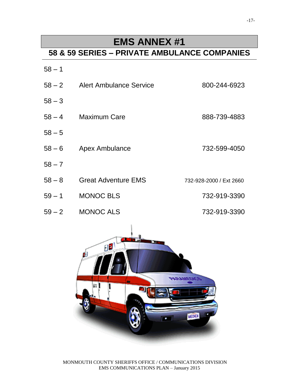### **EMS ANNEX #1**

### **58 & 59 SERIES – PRIVATE AMBULANCE COMPANIES**

| $58 - 1$ |                                |                         |
|----------|--------------------------------|-------------------------|
|          | 58 – 2 Alert Ambulance Service | 800-244-6923            |
| $58 - 3$ |                                |                         |
|          | 58 – 4 Maximum Care            | 888-739-4883            |
| $58 - 5$ |                                |                         |
| $58 - 6$ | <b>Apex Ambulance</b>          | 732-599-4050            |
| $58 - 7$ |                                |                         |
| $58 - 8$ | <b>Great Adventure EMS</b>     | 732-928-2000 / Ext 2660 |
| $59 - 1$ | <b>MONOC BLS</b>               | 732-919-3390            |
| $59 - 2$ | <b>MONOC ALS</b>               | 732-919-3390            |



MONMOUTH COUNTY SHERIFFS OFFICE / COMMUNICATIONS DIVISION EMS COMMUNICATIONS PLAN – January 2015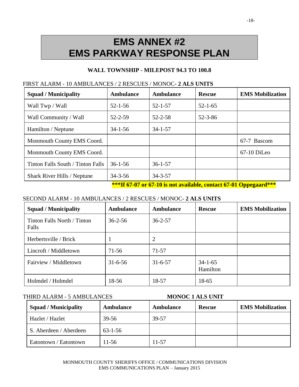## **EMS ANNEX #2 EMS PARKWAY RESPONSE PLAN**

#### **WALL TOWNSHIP - MILEPOST 94.3 TO 100.8**

| <b>Squad / Municipality</b>        | <b>Ambulance</b> | <b>Ambulance</b> | <b>Rescue</b> | <b>EMS Mobilization</b> |
|------------------------------------|------------------|------------------|---------------|-------------------------|
| Wall Twp / Wall                    | $52 - 1 - 56$    | $52 - 1 - 57$    | $52 - 1 - 65$ |                         |
| Wall Community / Wall              | $52 - 2 - 59$    | $52 - 2 - 58$    | $52 - 3 - 86$ |                         |
| Hamilton / Neptune                 | $34 - 1 - 56$    | $34 - 1 - 57$    |               |                         |
| Monmouth County EMS Coord.         |                  |                  |               | 67-7 Bascom             |
| Monmouth County EMS Coord.         |                  |                  |               | 67-10 DiLeo             |
| Tinton Falls South / Tinton Falls  | $36 - 1 - 56$    | $36 - 1 - 57$    |               |                         |
| <b>Shark River Hills / Neptune</b> | $34 - 3 - 56$    | $34 - 3 - 57$    |               |                         |

#### FIRST ALARM - 10 AMBULANCES / 2 RESCUES / MONOC**- 2 ALS UNITS**

**\*\*\*If 67-07 or 67-10 is not available, contact 67-01 Oppegaard\*\*\***

#### SECOND ALARM - 10 AMBULANCES / 2 RESCUES / MONOC**- 2 ALS UNITS**

| <b>Squad / Municipality</b>          | <b>Ambulance</b> | <b>Ambulance</b> | <b>Rescue</b>             | <b>EMS Mobilization</b> |
|--------------------------------------|------------------|------------------|---------------------------|-------------------------|
| Tinton Falls North / Tinton<br>Falls | $36 - 2 - 56$    | $36 - 2 - 57$    |                           |                         |
| Herbertsville / Brick                |                  | 2                |                           |                         |
| Lincroft / Middletown                | 71-56            | 71-57            |                           |                         |
| Fairview / Middletown                | $31 - 6 - 56$    | $31 - 6 - 57$    | $34 - 1 - 65$<br>Hamilton |                         |
| Holmdel / Holmdel                    | 18-56            | 18-57            | 18-65                     |                         |

| <b>Squad / Municipality</b> | <b>Ambulance</b> | <b>Ambulance</b> | <b>Rescue</b> | <b>EMS Mobilization</b> |
|-----------------------------|------------------|------------------|---------------|-------------------------|
| Hazlet / Hazlet             | $39 - 56$        | 39-57            |               |                         |
| S. Aberdeen / Aberdeen      | $63 - 1 - 56$    |                  |               |                         |
| Eatontown / Eatontown       | $11-56$          | $11 - 57$        |               |                         |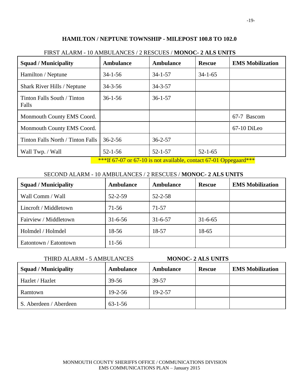#### **HAMILTON / NEPTUNE TOWNSHIP - MILEPOST 100.8 TO 102.0**

| <b>Ambulance</b> | <b>Ambulance</b> | <b>Rescue</b> | <b>EMS Mobilization</b> |
|------------------|------------------|---------------|-------------------------|
| $34 - 1 - 56$    | $34 - 1 - 57$    | $34 - 1 - 65$ |                         |
| $34 - 3 - 56$    | $34 - 3 - 57$    |               |                         |
| $36 - 1 - 56$    | $36 - 1 - 57$    |               |                         |
|                  |                  |               | 67-7 Bascom             |
|                  |                  |               | $67-10$ DiLeo           |
| $36 - 2 - 56$    | $36 - 2 - 57$    |               |                         |
| $52 - 1 - 56$    | $52 - 1 - 57$    | $52 - 1 - 65$ |                         |
|                  |                  |               |                         |

#### FIRST ALARM - 10 AMBULANCES / 2 RESCUES / **MONOC- 2 ALS UNITS**

\*\*\*If 67-07 or 67-10 is not available, contact 67-01 Oppegaard\*\*\*

#### SECOND ALARM - 10 AMBULANCES / 2 RESCUES / **MONOC- 2 ALS UNITS**

| <b>Squad / Municipality</b> | <b>Ambulance</b> | <b>Ambulance</b> | <b>Rescue</b> | <b>EMS Mobilization</b> |
|-----------------------------|------------------|------------------|---------------|-------------------------|
| Wall Comm / Wall            | $52 - 2 - 59$    | $52 - 2 - 58$    |               |                         |
| Lincroft / Middletown       | $71-56$          | $71 - 57$        |               |                         |
| Fairview / Middletown       | $31 - 6 - 56$    | $31 - 6 - 57$    | $31 - 6 - 65$ |                         |
| Holmdel / Holmdel           | 18-56            | 18-57            | 18-65         |                         |
| Eatontown / Eatontown       | $11-56$          |                  |               |                         |

| <b>Squad / Municipality</b> | Ambulance     | <b>Ambulance</b> | <b>Rescue</b> | <b>EMS Mobilization</b> |
|-----------------------------|---------------|------------------|---------------|-------------------------|
| Hazlet / Hazlet             | 39-56         | 39-57            |               |                         |
| Ramtown                     | $19 - 2 - 56$ | $19 - 2 - 57$    |               |                         |
| S. Aberdeen / Aberdeen      | $63 - 1 - 56$ |                  |               |                         |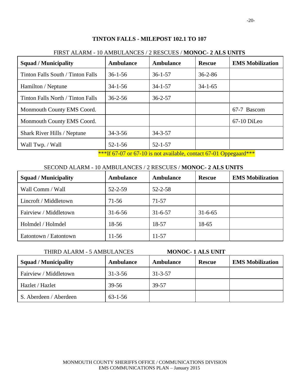#### **TINTON FALLS - MILEPOST 102.1 TO 107**

| <b>Squad / Municipality</b>        | <b>Ambulance</b> | <b>Ambulance</b> | <b>Rescue</b> | <b>EMS Mobilization</b> |
|------------------------------------|------------------|------------------|---------------|-------------------------|
| Tinton Falls South / Tinton Falls  | $36 - 1 - 56$    | $36 - 1 - 57$    | $36 - 2 - 86$ |                         |
| Hamilton / Neptune                 | $34 - 1 - 56$    | $34 - 1 - 57$    | $34 - 1 - 65$ |                         |
| Tinton Falls North / Tinton Falls  | $36 - 2 - 56$    | $36 - 2 - 57$    |               |                         |
| Monmouth County EMS Coord.         |                  |                  |               | 67-7 Bascom             |
| Monmouth County EMS Coord.         |                  |                  |               | 67-10 DiLeo             |
| <b>Shark River Hills / Neptune</b> | $34 - 3 - 56$    | $34 - 3 - 57$    |               |                         |
| Wall Twp. / Wall                   | $52 - 1 - 56$    | $52 - 1 - 57$    |               |                         |

#### FIRST ALARM - 10 AMBULANCES / 2 RESCUES / **MONOC- 2 ALS UNITS**

\*\*\*If 67-07 or 67-10 is not available, contact 67-01 Oppegaard\*\*\*

#### SECOND ALARM - 10 AMBULANCES / 2 RESCUES / **MONOC- 2 ALS UNITS**

| <b>Squad / Municipality</b> | <b>Ambulance</b> | <b>Ambulance</b> | <b>Rescue</b> | <b>EMS Mobilization</b> |
|-----------------------------|------------------|------------------|---------------|-------------------------|
| Wall Comm / Wall            | $52 - 2 - 59$    | $52 - 2 - 58$    |               |                         |
| Lincroft / Middletown       | 71-56            | $71-57$          |               |                         |
| Fairview / Middletown       | $31 - 6 - 56$    | $31 - 6 - 57$    | $31 - 6 - 65$ |                         |
| Holmdel / Holmdel           | 18-56            | 18-57            | 18-65         |                         |
| Eatontown / Eatontown       | $11-56$          | 11-57            |               |                         |

|                             | THIRD ALARM - 5 AMBULANCES<br><b>MONOC-1 ALS UNIT</b> |               |               |                         |
|-----------------------------|-------------------------------------------------------|---------------|---------------|-------------------------|
| <b>Squad / Municipality</b> | <b>Ambulance</b>                                      | Ambulance     | <b>Rescue</b> | <b>EMS</b> Mobilization |
| Fairview / Middletown       | $31 - 3 - 56$                                         | $31 - 3 - 57$ |               |                         |
| Hazlet / Hazlet             | 39-56                                                 | 39-57         |               |                         |
| S. Aberdeen / Aberdeen      | $63 - 1 - 56$                                         |               |               |                         |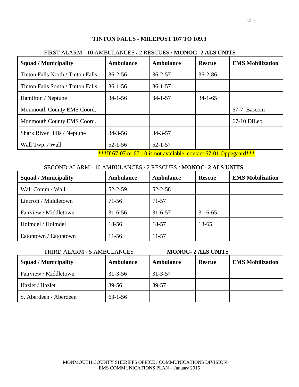#### **TINTON FALLS - MILEPOST 107 TO 109.3**

| <b>Squad / Municipality</b>        | <b>Ambulance</b> | <b>Ambulance</b> | <b>Rescue</b> | <b>EMS Mobilization</b> |
|------------------------------------|------------------|------------------|---------------|-------------------------|
| Tinton Falls North / Tinton Falls  | $36 - 2 - 56$    | $36 - 2 - 57$    | $36 - 2 - 86$ |                         |
| Tinton Falls South / Tinton Falls  | $36 - 1 - 56$    | $36 - 1 - 57$    |               |                         |
| Hamilton / Neptune                 | $34 - 1 - 56$    | $34 - 1 - 57$    | $34 - 1 - 65$ |                         |
| Monmouth County EMS Coord.         |                  |                  |               | 67-7 Bascom             |
| Monmouth County EMS Coord.         |                  |                  |               | 67-10 DiLeo             |
| <b>Shark River Hills / Neptune</b> | $34 - 3 - 56$    | $34 - 3 - 57$    |               |                         |
| Wall Twp. / Wall                   | $52 - 1 - 56$    | $52 - 1 - 57$    |               |                         |

#### FIRST ALARM - 10 AMBULANCES / 2 RESCUES / **MONOC- 2 ALS UNITS**

\*\*\*If 67-07 or 67-10 is not available, contact 67-01 Oppegaard\*\*\*

#### SECOND ALARM - 10 AMBULANCES / 2 RESCUES / **MONOC- 2 ALS UNITS**

| <b>Squad / Municipality</b> | <b>Ambulance</b> | <b>Ambulance</b> | <b>Rescue</b> | <b>EMS Mobilization</b> |
|-----------------------------|------------------|------------------|---------------|-------------------------|
| Wall Comm / Wall            | $52 - 2 - 59$    | $52 - 2 - 58$    |               |                         |
| Lincroft / Middletown       | 71-56            | $71-57$          |               |                         |
| Fairview / Middletown       | $31 - 6 - 56$    | $31 - 6 - 57$    | $31 - 6 - 65$ |                         |
| Holmdel / Holmdel           | 18-56            | 18-57            | 18-65         |                         |
| Eatontown / Eatontown       | $11-56$          | 11-57            |               |                         |

| THIRD ALARM - 5 AMBULANCES  |                  |                  | <b>MONOC- 2 ALS UNITS</b> |                         |
|-----------------------------|------------------|------------------|---------------------------|-------------------------|
| <b>Squad / Municipality</b> | <b>Ambulance</b> | <b>Ambulance</b> | <b>Rescue</b>             | <b>EMS</b> Mobilization |
| Fairview / Middletown       | $31 - 3 - 56$    | $31 - 3 - 57$    |                           |                         |
| Hazlet / Hazlet             | 39-56            | 39-57            |                           |                         |
| S. Aberdeen / Aberdeen      | $63 - 1 - 56$    |                  |                           |                         |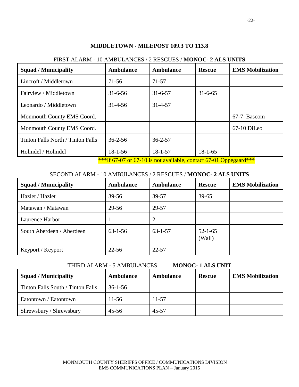#### **MIDDLETOWN - MILEPOST 109.3 TO 113.8**

| <b>Squad / Municipality</b>       | <b>Ambulance</b>                        | <b>Ambulance</b>                                         | <b>Rescue</b> | <b>EMS Mobilization</b> |
|-----------------------------------|-----------------------------------------|----------------------------------------------------------|---------------|-------------------------|
| Lincroft / Middletown             | $71 - 56$                               | 71-57                                                    |               |                         |
| Fairview / Middletown             | $31 - 6 - 56$                           | $31 - 6 - 57$                                            | $31 - 6 - 65$ |                         |
| Leonardo / Middletown             | $31 - 4 - 56$                           | $31 - 4 - 57$                                            |               |                         |
| Monmouth County EMS Coord.        |                                         |                                                          |               | 67-7 Bascom             |
| Monmouth County EMS Coord.        |                                         |                                                          |               | $67-10$ DiLeo           |
| Tinton Falls North / Tinton Falls | $36 - 2 - 56$                           | $36 - 2 - 57$                                            |               |                         |
| Holmdel / Holmdel                 | $18 - 1 - 56$<br>Joseph Company Company | $18 - 1 - 57$<br>$\sqrt{710}$ $\sqrt{111}$ $\sqrt{7001}$ | $18-1-65$     | This should             |

#### FIRST ALARM - 10 AMBULANCES / 2 RESCUES / **MONOC- 2 ALS UNITS**

\*\*\*If 67-07 or 67-10 is not available, contact 67-01 Oppegaard\*\*\*

#### SECOND ALARM - 10 AMBULANCES / 2 RESCUES / **MONOC- 2 ALS UNITS**

| <b>Squad / Municipality</b> | <b>Ambulance</b> | <b>Ambulance</b> | <b>Rescue</b>           | <b>EMS Mobilization</b> |
|-----------------------------|------------------|------------------|-------------------------|-------------------------|
| Hazlet / Hazlet             | $39 - 56$        | 39-57            | $39 - 65$               |                         |
| Matawan / Matawan           | 29-56            | 29-57            |                         |                         |
| Laurence Harbor             |                  | 2                |                         |                         |
| South Aberdeen / Aberdeen   | $63 - 1 - 56$    | $63 - 1 - 57$    | $52 - 1 - 65$<br>(Wall) |                         |
| Keyport / Keyport           | $22 - 56$        | $22 - 57$        |                         |                         |

| <b>Squad / Municipality</b>       | Ambulance     | Ambulance | <b>Rescue</b> | <b>EMS Mobilization</b> |
|-----------------------------------|---------------|-----------|---------------|-------------------------|
| Tinton Falls South / Tinton Falls | $36 - 1 - 56$ |           |               |                         |
| Eatontown / Eatontown             | $11-56$       | 11-57     |               |                         |
| Shrewsbury / Shrewsbury           | $45 - 56$     | $45 - 57$ |               |                         |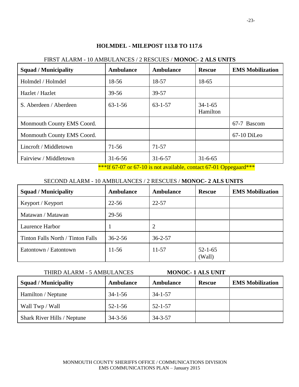#### **HOLMDEL - MILEPOST 113.8 TO 117.6**

| <b>Squad / Municipality</b> | <b>Ambulance</b> | <b>Ambulance</b> | <b>Rescue</b>             | <b>EMS Mobilization</b> |
|-----------------------------|------------------|------------------|---------------------------|-------------------------|
| Holmdel / Holmdel           | 18-56            | 18-57            | 18-65                     |                         |
| Hazlet / Hazlet             | $39 - 56$        | 39-57            |                           |                         |
| S. Aberdeen / Aberdeen      | $63 - 1 - 56$    | $63 - 1 - 57$    | $34 - 1 - 65$<br>Hamilton |                         |
| Monmouth County EMS Coord.  |                  |                  |                           | 67-7 Bascom             |
| Monmouth County EMS Coord.  |                  |                  |                           | 67-10 DiLeo             |
| Lincroft / Middletown       | $71 - 56$        | $71 - 57$        |                           |                         |
| Fairview / Middletown       | $31 - 6 - 56$    | $31 - 6 - 57$    | $31 - 6 - 65$             |                         |

#### FIRST ALARM - 10 AMBULANCES / 2 RESCUES / **MONOC- 2 ALS UNITS**

\*\*\*If 67-07 or 67-10 is not available, contact 67-01 Oppegaard\*\*\*

#### SECOND ALARM - 10 AMBULANCES / 2 RESCUES / **MONOC- 2 ALS UNITS**

| <b>Squad / Municipality</b>       | <b>Ambulance</b> | <b>Ambulance</b> | <b>Rescue</b>           | <b>EMS Mobilization</b> |
|-----------------------------------|------------------|------------------|-------------------------|-------------------------|
| Keyport / Keyport                 | $22 - 56$        | $22 - 57$        |                         |                         |
| Matawan / Matawan                 | 29-56            |                  |                         |                         |
| Laurence Harbor                   |                  |                  |                         |                         |
| Tinton Falls North / Tinton Falls | $36 - 2 - 56$    | $36 - 2 - 57$    |                         |                         |
| Eatontown / Eatontown             | $11-56$          | $11 - 57$        | $52 - 1 - 65$<br>(Wall) |                         |

| <b>Squad / Municipality</b> | <b>Ambulance</b> | Ambulance     | <b>Rescue</b> | <b>EMS</b> Mobilization |
|-----------------------------|------------------|---------------|---------------|-------------------------|
| Hamilton / Neptune          | $34 - 1 - 56$    | $34 - 1 - 57$ |               |                         |
| Wall Twp / Wall             | $52 - 1 - 56$    | $52 - 1 - 57$ |               |                         |
| Shark River Hills / Neptune | $34 - 3 - 56$    | $34 - 3 - 57$ |               |                         |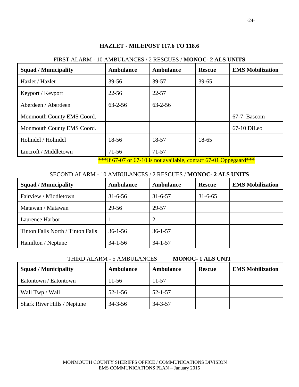## **HAZLET - MILEPOST 117.6 TO 118.6** FIRST ALARM - 10 AMBULANCES / 2 RESCUES / **MONOC- 2 ALS UNITS** Squad / Municipality **Ambulance Ambulance Rescue EMS** Mobilization Hazlet / Hazlet 1 39-56 39-57 39-65 Keyport / Keyport 22-56 22-57 Aberdeen / Aberdeen 163-2-56 63-2-56 Monmouth County EMS Coord. 
<br> **EXECUTE:** 
1 67-7 Bascom Monmouth County EMS Coord. <br>
1 67-10 DiLeo Holmdel / Holmdel 18-56 18-57 18-65 Lincroft / Middletown 71-56 71-57

\*\*\*If 67-07 or 67-10 is not available, contact 67-01 Oppegaard\*\*\*

#### SECOND ALARM - 10 AMBULANCES / 2 RESCUES / **MONOC- 2 ALS UNITS**

| <b>Squad / Municipality</b>       | <b>Ambulance</b> | <b>Ambulance</b> | <b>Rescue</b> | <b>EMS Mobilization</b> |
|-----------------------------------|------------------|------------------|---------------|-------------------------|
| Fairview / Middletown             | $31 - 6 - 56$    | $31 - 6 - 57$    | $31 - 6 - 65$ |                         |
| Matawan / Matawan                 | 29-56            | 29-57            |               |                         |
| Laurence Harbor                   |                  | 2                |               |                         |
| Tinton Falls North / Tinton Falls | $36 - 1 - 56$    | $36 - 1 - 57$    |               |                         |
| Hamilton / Neptune                | $34 - 1 - 56$    | $34 - 1 - 57$    |               |                         |

| <b>Squad / Municipality</b>        | Ambulance     | Ambulance     | <b>Rescue</b> | <b>EMS</b> Mobilization |
|------------------------------------|---------------|---------------|---------------|-------------------------|
| Eatontown / Eatontown              | $11-56$       | $11 - 57$     |               |                         |
| Wall Twp / Wall                    | $52 - 1 - 56$ | $52 - 1 - 57$ |               |                         |
| <b>Shark River Hills / Neptune</b> | $34 - 3 - 56$ | $34 - 3 - 57$ |               |                         |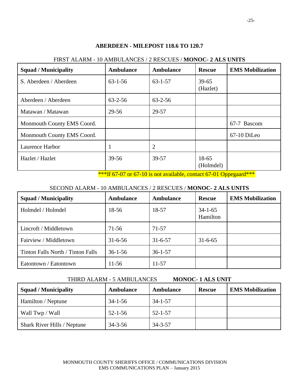### Squad / Municipality **Ambulance Ambulance Rescue EMS** Mobilization S. Aberdeen / Aberdeen 163-1-56 163-1-57 39-65 (Hazlet) Aberdeen / Aberdeen 163-2-56 63-2-56 Matawan / Matawan 29-56 29-57 Monmouth County EMS Coord. <br>
167-7 Bascom Monmouth County EMS Coord. (a) a coorder that is a set of  $\sim$  67-10 DiLeo Laurence Harbor 1 2 Hazlet / Hazlet 18-65 139-56 39-57 18-65 (Holmdel)

#### **ABERDEEN - MILEPOST 118.6 TO 120.7**

#### FIRST ALARM - 10 AMBULANCES / 2 RESCUES / **MONOC- 2 ALS UNITS**

\*\*\*If 67-07 or 67-10 is not available, contact 67-01 Oppegaard\*\*\*

#### SECOND ALARM - 10 AMBULANCES / 2 RESCUES / **MONOC- 2 ALS UNITS**

| <b>Squad / Municipality</b>       | <b>Ambulance</b> | <b>Ambulance</b> | <b>Rescue</b>             | <b>EMS Mobilization</b> |
|-----------------------------------|------------------|------------------|---------------------------|-------------------------|
| Holmdel / Holmdel                 | 18-56            | 18-57            | $34 - 1 - 65$<br>Hamilton |                         |
| Lincroft / Middletown             | $71-56$          | $71 - 57$        |                           |                         |
| Fairview / Middletown             | $31 - 6 - 56$    | $31 - 6 - 57$    | $31 - 6 - 65$             |                         |
| Tinton Falls North / Tinton Falls | $36 - 1 - 56$    | $36 - 1 - 57$    |                           |                         |
| Eatontown / Eatontown             | $11-56$          | 11-57            |                           |                         |

| <b>Squad / Municipality</b>        | Ambulance     | Ambulance     | <b>Rescue</b> | <b>EMS Mobilization</b> |
|------------------------------------|---------------|---------------|---------------|-------------------------|
| Hamilton / Neptune                 | $34 - 1 - 56$ | $34 - 1 - 57$ |               |                         |
| Wall Twp / Wall                    | $52 - 1 - 56$ | $52 - 1 - 57$ |               |                         |
| <b>Shark River Hills / Neptune</b> | $34 - 3 - 56$ | $34 - 3 - 57$ |               |                         |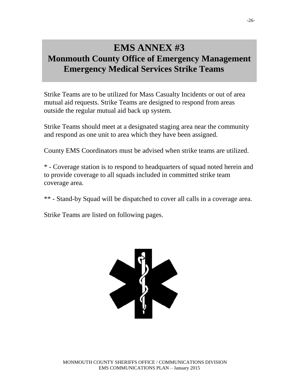#### EIVIS AINNEA #J<br><del>1999 Alexand</del>e **Monmouth County Office of Emergency Management Emergency Medical Services Strike Teams EMS ANNEX #3 Monmouth County Office of Emergency Management Emergency Medical Services Strike Teams**

Strike Teams are to be utilized for Mass Casualty Incidents or out of area mutual aid requests. Strike Teams are designed to respond from areas outside the regular mutual aid back up system.

Strike Teams should meet at a designated staging area near the community and respond as one unit to area which they have been assigned.

County EMS Coordinators must be advised when strike teams are utilized.

\* - Coverage station is to respond to headquarters of squad noted herein and to provide coverage to all squads included in committed strike team coverage area.

\*\* - Stand-by Squad will be dispatched to cover all calls in a coverage area.

Strike Teams are listed on following pages.

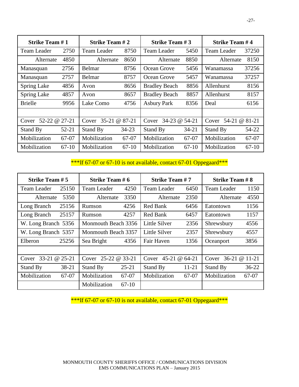|                        | <b>Strike Team #1</b> |                    | <b>Strike Team #2</b> |                        | <b>Strike Team #3</b> |                        | <b>Strike Team #4</b> |  |
|------------------------|-----------------------|--------------------|-----------------------|------------------------|-----------------------|------------------------|-----------------------|--|
| <b>Team Leader</b>     | 2750                  | <b>Team Leader</b> | 8750                  | <b>Team Leader</b>     | 5450                  | <b>Team Leader</b>     | 37250                 |  |
| Alternate              | 4850                  | Alternate          | 8650                  | Alternate              | 8850                  | Alternate              | 8150                  |  |
| Manasquan              | 2756                  | Belmar             | 8756                  | Ocean Grove            | 5456                  | Wanamassa              | 37256                 |  |
| Manasquan              | 2757                  | Belmar             | 8757                  | Ocean Grove            | 5457                  | Wanamassa              | 37257                 |  |
| <b>Spring Lake</b>     | 4856                  | Avon               | 8656                  | <b>Bradley Beach</b>   | 8856                  | Allenhurst             | 8156                  |  |
| <b>Spring Lake</b>     | 4857                  | Avon               | 8657                  | <b>Bradley Beach</b>   | 8857                  | Allenhurst             | 8157                  |  |
| <b>Brielle</b>         | 9956                  | Lake Como          | 4756                  | <b>Asbury Park</b>     | 8356                  | Deal                   | 6156                  |  |
|                        |                       |                    |                       |                        |                       |                        |                       |  |
| 52-22 @ 27-21<br>Cover |                       | $35 - 21$<br>Cover | @ 87-21               | 34-23 @ 54-21<br>Cover |                       | Cover 54-21 @<br>81-21 |                       |  |
| Stand By               | $52 - 21$             | Stand By           | $34 - 23$             | Stand By               | $34 - 21$             | Stand By               | 54-22                 |  |
| Mobilization           | 67-07                 | Mobilization       | 67-07                 | Mobilization           | 67-07                 | Mobilization           | 67-07                 |  |
| Mobilization           | $67-10$               | Mobilization       | $67-10$               | Mobilization           | $67-10$               | Mobilization           | 67-10                 |  |

#### \*\*\*If 67-07 or 67-10 is not available, contact 67-01 Oppegaard\*\*\*

| <b>Strike Team #5</b> | <b>Strike Team #6</b>   | <b>Strike Team #7</b> | <b>Strike Team #8</b> |  |
|-----------------------|-------------------------|-----------------------|-----------------------|--|
| <b>Team Leader</b>    | <b>Team Leader</b>      | <b>Team Leader</b>    | <b>Team Leader</b>    |  |
| 25150                 | 4250                    | 6450                  | 1150                  |  |
| 5350                  | 3350                    | 2350                  | 4550                  |  |
| Alternate             | Alternate               | Alternate             | Alternate             |  |
| Long Branch           | 4256                    | Red Bank              | Eatontown             |  |
| 25156                 | Rumson                  | 6456                  | 1156                  |  |
| Long Branch           | 4257                    | Red Bank              | 1157                  |  |
| 25157                 | Rumson                  | 6457                  | Eatontown             |  |
| W. Long Branch 5356   | Monmouth Beach 3356     | Little Silver<br>2356 | Shrewsbury<br>4556    |  |
| W. Long Branch 5357   | Monmouth Beach 3357     | Little Silver<br>2357 | Shrewsbury<br>4557    |  |
| Elberon               | Sea Bright              | Fair Haven            | 3856                  |  |
| 25256                 | 4356                    | 1356                  | Oceanport             |  |
|                       |                         |                       |                       |  |
| Cover 33-21 @ 25-21   | Cover 25-22 @ 33-21     | Cover $45-21$ @ 64-21 | Cover 36-21 @ 11-21   |  |
| 38-21                 | $25 - 21$               | Stand By              | Stand By              |  |
| Stand By              | Stand By                | $11-21$               | $36 - 22$             |  |
| Mobilization          | Mobilization            | Mobilization          | Mobilization          |  |
| 67-07                 | 67-07                   | 67-07                 | 67-07                 |  |
|                       | Mobilization<br>$67-10$ |                       |                       |  |

\*\*\*If 67-07 or 67-10 is not available, contact 67-01 Oppegaard\*\*\*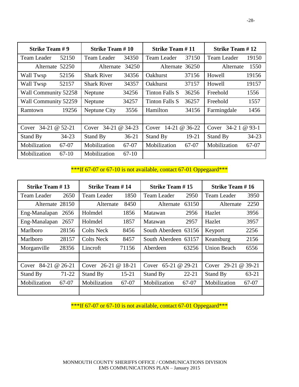| <b>Strike Team #9</b> |           | <b>Strike Team #10</b> |         | <b>Strike Team #11</b> |       | <b>Strike Team #12</b> |           |
|-----------------------|-----------|------------------------|---------|------------------------|-------|------------------------|-----------|
| <b>Team Leader</b>    | 52150     | <b>Team Leader</b>     | 34350   | <b>Team Leader</b>     | 37150 | <b>Team Leader</b>     | 19150     |
| Alternate 52250       |           | 34250<br>Alternate     |         | Alternate 36250        |       | Alternate              | 1550      |
| Wall Twsp             | 52156     | <b>Shark River</b>     | 34356   | <b>Oakhurst</b>        | 37156 | Howell                 | 19156     |
| Wall Twsp             | 52157     | <b>Shark River</b>     | 34357   | <b>Oakhurst</b>        | 37157 | Howell                 | 19157     |
| Wall Community 52258  |           | Neptune                | 34256   | Tinton Falls S         | 36256 | Freehold               | 1556      |
| Wall Community 52259  |           | Neptune                | 34257   | <b>Tinton Falls S</b>  | 36257 | Freehold               | 1557      |
| Ramtown               | 19256     | Neptune City           | 3556    | Hamilton               | 34156 | Farmingdale            | 1456      |
|                       |           |                        |         |                        |       |                        |           |
| Cover $34-21$ @ 52-21 |           | Cover 34-21 @ 34-23    |         | Cover 14-21 @ 36-22    |       | Cover 34-2 1 @ 93-1    |           |
| Stand By              | $34 - 23$ | Stand By               | $36-21$ | Stand By               | 19-21 | Stand By               | $34 - 23$ |
| Mobilization          | 67-07     | Mobilization           | 67-07   | Mobilization           | 67-07 | Mobilization           | 67-07     |
| Mobilization          | $67-10$   | Mobilization           | $67-10$ |                        |       |                        |           |

\*\*\*If 67-07 or 67-10 is not available, contact 67-01 Oppegaard\*\*\*

| <b>Strike Team #13</b> |         | <b>Strike Team #14</b> |           | <b>Strike Team #15</b> |           | <b>Strike Team #16</b> |       |
|------------------------|---------|------------------------|-----------|------------------------|-----------|------------------------|-------|
| Team Leader            | 2650    | Team Leader            | 1850      | <b>Team Leader</b>     | 2950      | <b>Team Leader</b>     | 3950  |
| Alternate 28150        |         | 8450<br>Alternate      |           | Alternate              | 63150     | Alternate              | 2250  |
| Eng-Manalapan          | 2656    | Holmdel                | 1856      | Matawan                | 2956      | Hazlet                 | 3956  |
| Eng-Manalapan          | 2657    | Holmdel                | 1857      | Matawan                | 2957      | Hazlet                 | 3957  |
| Marlboro               | 28156   | <b>Colts Neck</b>      | 8456      | South Aberdeen 63156   |           | Keyport                | 2256  |
| Marlboro               | 28157   | <b>Colts Neck</b>      | 8457      | South Aberdeen 63157   |           | Keansburg              | 2156  |
| Morganville            | 28356   | Lincroft               | 71156     | Aberdeen               | 63256     | <b>Union Beach</b>     | 6556  |
|                        |         |                        |           |                        |           |                        |       |
| 84-21 @ 26-21<br>Cover |         | Cover 26-21 @ 18-21    |           | Cover 65-21 @ 29-21    |           | Cover 29-21 @ 39-21    |       |
| Stand By               | 71-22   | Stand By               | $15 - 21$ | Stand By               | $22 - 21$ | Stand By               | 63-21 |
| Mobilization           | $67-07$ | Mobilization           | 67-07     | Mobilization           | 67-07     | Mobilization           | 67-07 |
|                        |         |                        |           |                        |           |                        |       |

\*\*\*If 67-07 or 67-10 is not available, contact 67-01 Oppegaard\*\*\*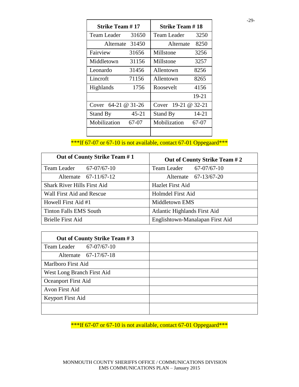| <b>Strike Team # 17</b> |       | <b>Strike Team # 18</b> |       |  |
|-------------------------|-------|-------------------------|-------|--|
| Team Leader             | 31650 | Team Leader             | 3250  |  |
| Alternate               | 31450 | Alternate               | 8250  |  |
| Fairview                | 31656 | Millstone               | 3256  |  |
| Middletown              | 31156 | Millstone               | 3257  |  |
| Leonardo                | 31456 | Allentown               | 8256  |  |
| Lincroft                | 71156 | Allentown               | 8265  |  |
| Highlands               | 1756  | Roosevelt               | 4156  |  |
|                         |       |                         | 19-21 |  |
| Cover $64-21$ @ 31-26   |       | Cover 19-21 @ 32-21     |       |  |
| Stand By                | 45-21 | Stand By                | 14-21 |  |
| Mobilization            | 67-07 | Mobilization            | 67-07 |  |
|                         |       |                         |       |  |

\*\*\*If 67-07 or 67-10 is not available, contact 67-01 Oppegaard\*\*\*

| Out of County Strike Team #1       | Out of County Strike Team #2    |
|------------------------------------|---------------------------------|
| $67-07/67-10$<br>Team Leader       | $67-07/67-10$<br>Team Leader    |
| Alternate 67-11/67-12              | Alternate 67-13/67-20           |
| <b>Shark River Hills First Aid</b> | <b>Hazlet First Aid</b>         |
| Wall First Aid and Rescue          | Holmdel First Aid               |
| Howell First Aid #1                | Middletown EMS                  |
| <b>Tinton Falls EMS South</b>      | Atlantic Highlands First Aid    |
| <b>Brielle First Aid</b>           | Englishtown-Manalapan First Aid |

| Out of County Strike Team #3 |  |
|------------------------------|--|
| 67-07/67-10<br>Team Leader   |  |
| Alternate 67-17/67-18        |  |
| Marlboro First Aid           |  |
| West Long Branch First Aid   |  |
| Oceanport First Aid          |  |
| Avon First Aid               |  |
| <b>Keyport First Aid</b>     |  |
|                              |  |

\*\*\*If 67-07 or 67-10 is not available, contact 67-01 Oppegaard\*\*\*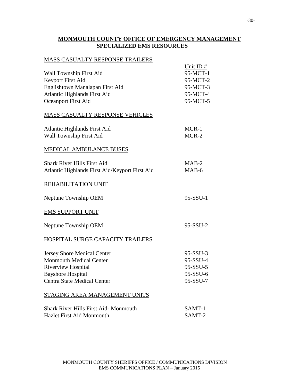#### **MONMOUTH COUNTY OFFICE OF EMERGENCY MANAGEMENT SPECIALIZED EMS RESOURCES**

#### MASS CASUALTY RESPONSE TRAILERS

| Wall Township First Aid<br>Keyport First Aid<br>Englishtown Manalapan First Aid<br><b>Atlantic Highlands First Aid</b><br><b>Oceanport First Aid</b>                | Unit ID $#$<br>95-MCT-1<br>95-MCT-2<br>95-MCT-3<br>95-MCT-4<br>95-MCT-5 |
|---------------------------------------------------------------------------------------------------------------------------------------------------------------------|-------------------------------------------------------------------------|
| <b>MASS CASUALTY RESPONSE VEHICLES</b>                                                                                                                              |                                                                         |
| <b>Atlantic Highlands First Aid</b><br>Wall Township First Aid                                                                                                      | MCR-1<br>MCR-2                                                          |
| MEDICAL AMBULANCE BUSES                                                                                                                                             |                                                                         |
| <b>Shark River Hills First Aid</b><br>Atlantic Highlands First Aid/Keyport First Aid                                                                                | $MAB-2$<br>$MAB-6$                                                      |
| REHABILITATION UNIT                                                                                                                                                 |                                                                         |
| Neptune Township OEM                                                                                                                                                | 95-SSU-1                                                                |
| <b>EMS SUPPORT UNIT</b>                                                                                                                                             |                                                                         |
| Neptune Township OEM                                                                                                                                                | 95-SSU-2                                                                |
| HOSPITAL SURGE CAPACITY TRAILERS                                                                                                                                    |                                                                         |
| <b>Jersey Shore Medical Center</b><br><b>Monmouth Medical Center</b><br><b>Riverview Hospital</b><br><b>Bayshore Hospital</b><br><b>Centra State Medical Center</b> | 95-SSU-3<br>95-SSU-4<br>95-SSU-5<br>95-SSU-6<br>95-SSU-7                |
| STAGING AREA MANAGEMENT UNITS                                                                                                                                       |                                                                         |
| <b>Shark River Hills First Aid-Monmouth</b><br><b>Hazlet First Aid Monmouth</b>                                                                                     | SAMT-1<br>SAMT-2                                                        |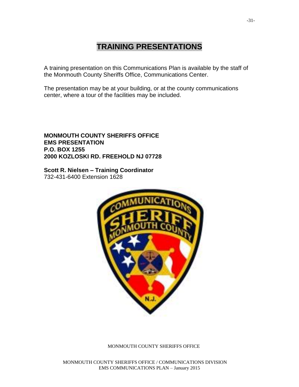### **TRAINING PRESENTATIONS**

A training presentation on this Communications Plan is available by the staff of the Monmouth County Sheriffs Office, Communications Center.

The presentation may be at your building, or at the county communications center, where a tour of the facilities may be included.

#### **MONMOUTH COUNTY SHERIFFS OFFICE EMS PRESENTATION P.O. BOX 1255 2000 KOZLOSKI RD. FREEHOLD NJ 07728**

**Scott R. Nielsen – Training Coordinator** 732-431-6400 Extension 1628



MONMOUTH COUNTY SHERIFFS OFFICE